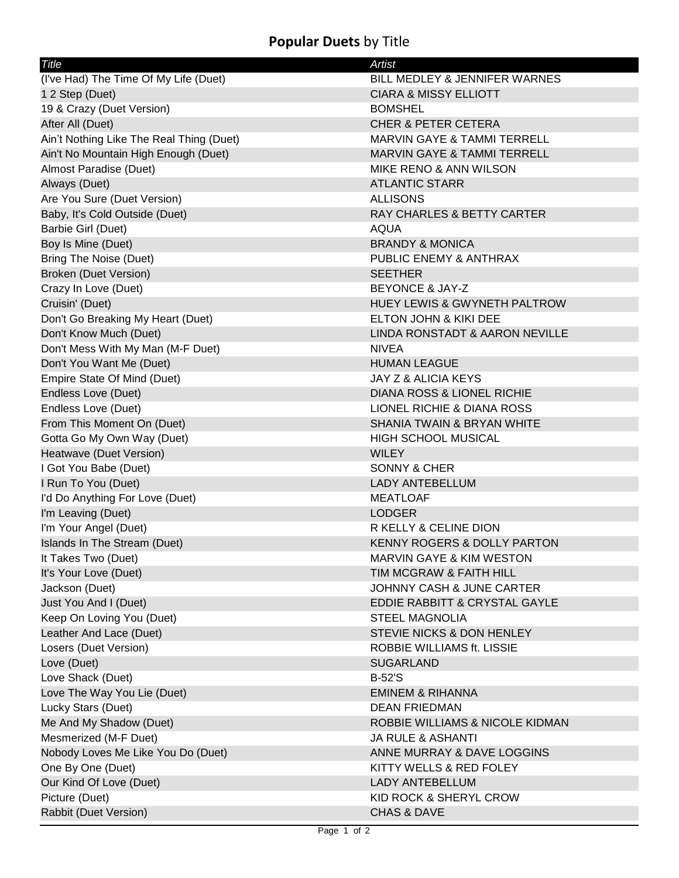## **Popular Duets** by Title

| Title                                    | <b>Artist</b>                           |
|------------------------------------------|-----------------------------------------|
| (I've Had) The Time Of My Life (Duet)    | BILL MEDLEY & JENNIFER WARNES           |
| 1 2 Step (Duet)                          | <b>CIARA &amp; MISSY ELLIOTT</b>        |
| 19 & Crazy (Duet Version)                | <b>BOMSHEL</b>                          |
| After All (Duet)                         | <b>CHER &amp; PETER CETERA</b>          |
| Ain't Nothing Like The Real Thing (Duet) | MARVIN GAYE & TAMMI TERRELL             |
| Ain't No Mountain High Enough (Duet)     | <b>MARVIN GAYE &amp; TAMMI TERRELL</b>  |
| Almost Paradise (Duet)                   | MIKE RENO & ANN WILSON                  |
| Always (Duet)                            | <b>ATLANTIC STARR</b>                   |
| Are You Sure (Duet Version)              | <b>ALLISONS</b>                         |
| Baby, It's Cold Outside (Duet)           | RAY CHARLES & BETTY CARTER              |
| Barbie Girl (Duet)                       | <b>AQUA</b>                             |
| Boy Is Mine (Duet)                       | <b>BRANDY &amp; MONICA</b>              |
| <b>Bring The Noise (Duet)</b>            | PUBLIC ENEMY & ANTHRAX                  |
| Broken (Duet Version)                    | <b>SEETHER</b>                          |
| Crazy In Love (Duet)                     | <b>BEYONCE &amp; JAY-Z</b>              |
| Cruisin' (Duet)                          | <b>HUEY LEWIS &amp; GWYNETH PALTROW</b> |
| Don't Go Breaking My Heart (Duet)        | ELTON JOHN & KIKI DEE                   |
| Don't Know Much (Duet)                   | LINDA RONSTADT & AARON NEVILLE          |
| Don't Mess With My Man (M-F Duet)        | <b>NIVEA</b>                            |
| Don't You Want Me (Duet)                 | <b>HUMAN LEAGUE</b>                     |
| Empire State Of Mind (Duet)              | JAY Z & ALICIA KEYS                     |
| Endless Love (Duet)                      | DIANA ROSS & LIONEL RICHIE              |
| Endless Love (Duet)                      | LIONEL RICHIE & DIANA ROSS              |
| From This Moment On (Duet)               | <b>SHANIA TWAIN &amp; BRYAN WHITE</b>   |
| Gotta Go My Own Way (Duet)               | <b>HIGH SCHOOL MUSICAL</b>              |
| Heatwave (Duet Version)                  | <b>WILEY</b>                            |
| I Got You Babe (Duet)                    | <b>SONNY &amp; CHER</b>                 |
| I Run To You (Duet)                      | <b>LADY ANTEBELLUM</b>                  |
| I'd Do Anything For Love (Duet)          | <b>MEATLOAF</b>                         |
| I'm Leaving (Duet)                       | <b>LODGER</b>                           |
| I'm Your Angel (Duet)                    | R KELLY & CELINE DION                   |
| Islands In The Stream (Duet)             | <b>KENNY ROGERS &amp; DOLLY PARTON</b>  |
| It Takes Two (Duet)                      | <b>MARVIN GAYE &amp; KIM WESTON</b>     |
| It's Your Love (Duet)                    | TIM MCGRAW & FAITH HILL                 |
| Jackson (Duet)                           | <b>JOHNNY CASH &amp; JUNE CARTER</b>    |
| Just You And I (Duet)                    | EDDIE RABBITT & CRYSTAL GAYLE           |
| Keep On Loving You (Duet)                | <b>STEEL MAGNOLIA</b>                   |
| Leather And Lace (Duet)                  | STEVIE NICKS & DON HENLEY               |
| Losers (Duet Version)                    | ROBBIE WILLIAMS ft. LISSIE              |
| Love (Duet)                              | <b>SUGARLAND</b>                        |
| Love Shack (Duet)                        | <b>B-52'S</b>                           |
| Love The Way You Lie (Duet)              | <b>EMINEM &amp; RIHANNA</b>             |
| Lucky Stars (Duet)                       | <b>DEAN FRIEDMAN</b>                    |
| Me And My Shadow (Duet)                  | ROBBIE WILLIAMS & NICOLE KIDMAN         |
| Mesmerized (M-F Duet)                    | <b>JA RULE &amp; ASHANTI</b>            |
| Nobody Loves Me Like You Do (Duet)       | ANNE MURRAY & DAVE LOGGINS              |
| One By One (Duet)                        | KITTY WELLS & RED FOLEY                 |
| Our Kind Of Love (Duet)                  | <b>LADY ANTEBELLUM</b>                  |
| Picture (Duet)                           | KID ROCK & SHERYL CROW                  |
| Rabbit (Duet Version)                    | <b>CHAS &amp; DAVE</b>                  |